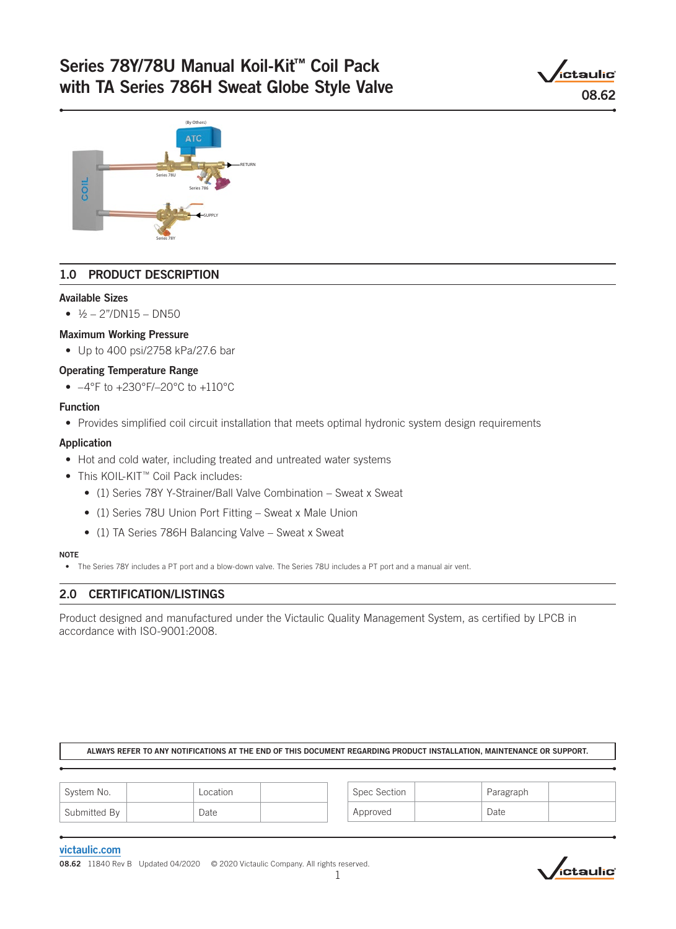# Series 78Y/78U Manual Koil-Kit™ Coil Pack with TA Series 786H Sweat Globe Style Valve





## 1.0 PRODUCT DESCRIPTION

#### Available Sizes

•  $\frac{1}{2} - \frac{27}{D}N15 - D N50$ 

#### Maximum Working Pressure

• Up to 400 psi/2758 kPa/27.6 bar

#### Operating Temperature Range

•  $-4^{\circ}$ F to  $+230^{\circ}$ F/-20 $^{\circ}$ C to  $+110^{\circ}$ C

#### Function

• Provides simplified coil circuit installation that meets optimal hydronic system design requirements

#### Application

- Hot and cold water, including treated and untreated water systems
- This KOIL-KIT™ Coil Pack includes:
	- (1) Series 78Y Y-Strainer/Ball Valve Combination Sweat x Sweat
	- (1) Series 78U Union Port Fitting Sweat x Male Union
	- (1) TA Series 786H Balancing Valve Sweat x Sweat

#### NOTE

• The Series 78Y includes a PT port and a blow-down valve. The Series 78U includes a PT port and a manual air vent.

#### 2.0 CERTIFICATION/LISTINGS

Product designed and manufactured under the Victaulic Quality Management System, as certified by LPCB in accordance with ISO-9001:2008.

#### ALWAYS REFER TO ANY NOTIFICATIONS AT THE END OF THIS DOCUMENT REGARDING PRODUCT INSTALLATION, MAINTENANCE OR SUPPORT.

| <sup>i</sup> System No. | Location | Spec Section | Paragraph |  |
|-------------------------|----------|--------------|-----------|--|
| Submitted By            | Date     | Approved     | Date      |  |

#### [victaulic.com](http://www.victaulic.com)

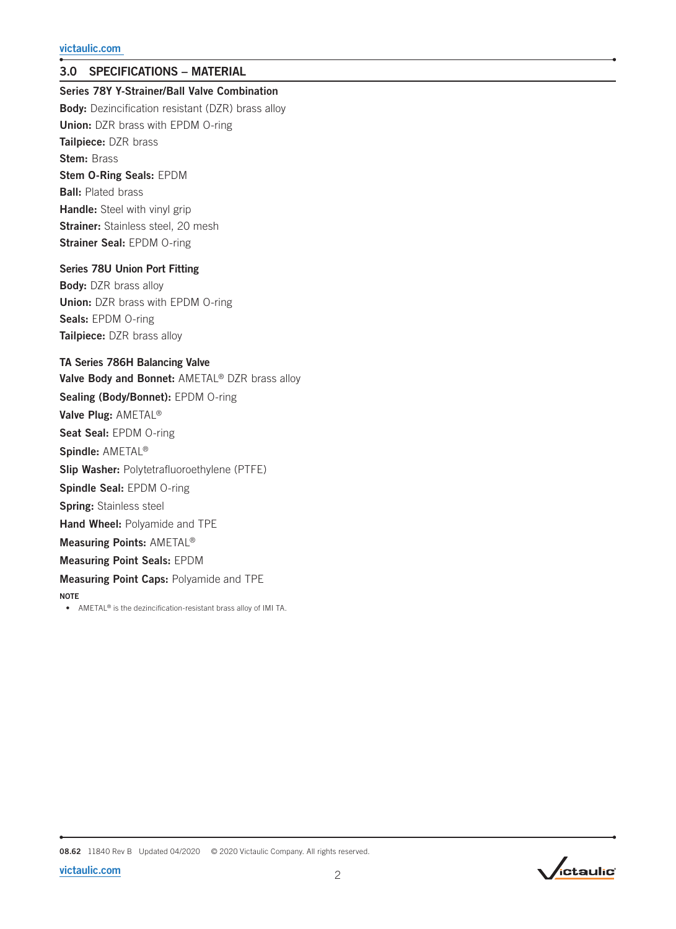## 3.0 SPECIFICATIONS – MATERIAL

Series 78Y Y-Strainer/Ball Valve Combination

**Body:** Dezincification resistant (DZR) brass alloy Union: DZR brass with EPDM O-ring Tailpiece: DZR brass Stem: Brass Stem O-Ring Seals: EPDM **Ball: Plated brass** Handle: Steel with vinyl grip **Strainer:** Stainless steel, 20 mesh Strainer Seal: EPDM O-ring

#### Series 78U Union Port Fitting

Body: DZR brass alloy Union: DZR brass with EPDM O-ring Seals: EPDM O-ring Tailpiece: DZR brass alloy

### TA Series 786H Balancing Valve

Valve Body and Bonnet: AMETAL® DZR brass alloy Sealing (Body/Bonnet): EPDM O-ring Valve Plug: AMETAL® Seat Seal: EPDM O-ring Spindle: AMETAL® Slip Washer: Polytetrafluoroethylene (PTFE) Spindle Seal: EPDM O-ring Spring: Stainless steel Hand Wheel: Polyamide and TPE Measuring Points: AMETAL® Measuring Point Seals: EPDM Measuring Point Caps: Polyamide and TPE **NOTE** • AMETAL® is the dezincification-resistant brass alloy of IMI TA.

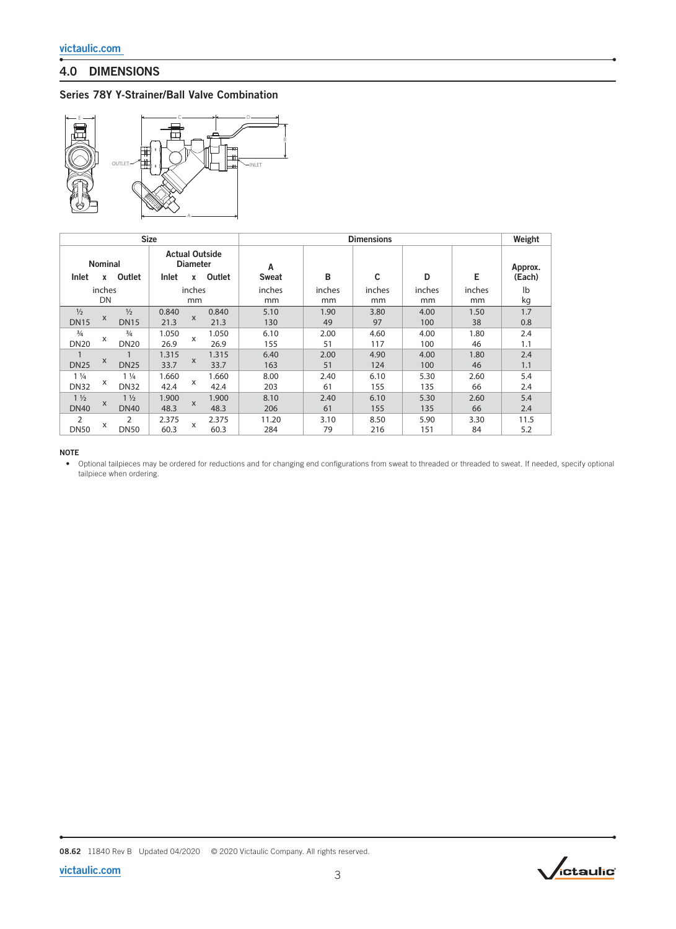## 4.0 DIMENSIONS

#### Series 78Y Y-Strainer/Ball Valve Combination



|                               | <b>Size</b>         |                               |               |                           | <b>Dimensions</b>               |                   |              |              |              | Weight       |                   |
|-------------------------------|---------------------|-------------------------------|---------------|---------------------------|---------------------------------|-------------------|--------------|--------------|--------------|--------------|-------------------|
| <b>Inlet</b>                  | <b>Nominal</b><br>x | Outlet                        | Inlet         | <b>Diameter</b><br>x      | <b>Actual Outside</b><br>Outlet | A<br><b>Sweat</b> | B            | C            | D            | Е            | Approx.<br>(Each) |
|                               | inches<br>DN        |                               |               | inches<br>mm              |                                 | inches<br>mm      | inches<br>mm | inches<br>mm | inches<br>mm | inches<br>mm | lb<br>kg          |
| $\frac{1}{2}$<br><b>DN15</b>  | X                   | $\frac{1}{2}$<br><b>DN15</b>  | 0.840<br>21.3 | $\mathsf{x}$              | 0.840<br>21.3                   | 5.10<br>130       | 1.90<br>49   | 3.80<br>97   | 4.00<br>100  | 1.50<br>38   | 1.7<br>0.8        |
| $\frac{3}{4}$<br><b>DN20</b>  | x                   | $\frac{3}{4}$<br><b>DN20</b>  | 1.050<br>26.9 | X                         | 1.050<br>26.9                   | 6.10<br>155       | 2.00<br>51   | 4.60<br>117  | 4.00<br>100  | 1.80<br>46   | 2.4<br>1.1        |
| <b>DN25</b>                   | X                   | <b>DN25</b>                   | 1.315<br>33.7 | X                         | 1.315<br>33.7                   | 6.40<br>163       | 2.00<br>51   | 4.90<br>124  | 4.00<br>100  | 1.80<br>46   | 2.4<br>1.1        |
| $1\frac{1}{4}$<br><b>DN32</b> | X                   | $1\frac{1}{4}$<br><b>DN32</b> | 1.660<br>42.4 | $\boldsymbol{\mathsf{x}}$ | 1.660<br>42.4                   | 8.00<br>203       | 2.40<br>61   | 6.10<br>155  | 5.30<br>135  | 2.60<br>66   | 5.4<br>2.4        |
| $1\frac{1}{2}$<br><b>DN40</b> | $\times$            | $1\frac{1}{2}$<br><b>DN40</b> | 1.900<br>48.3 | $\boldsymbol{\mathsf{x}}$ | 1.900<br>48.3                   | 8.10<br>206       | 2.40<br>61   | 6.10<br>155  | 5.30<br>135  | 2.60<br>66   | 5.4<br>2.4        |
| $\overline{2}$<br><b>DN50</b> | X                   | 2<br><b>DN50</b>              | 2.375<br>60.3 | X                         | 2.375<br>60.3                   | 11.20<br>284      | 3.10<br>79   | 8.50<br>216  | 5.90<br>151  | 3.30<br>84   | 11.5<br>5.2       |

#### NOTE

• Optional tailpieces may be ordered for reductions and for changing end configurations from sweat to threaded or threaded to sweat. If needed, specify optional tailpiece when ordering.

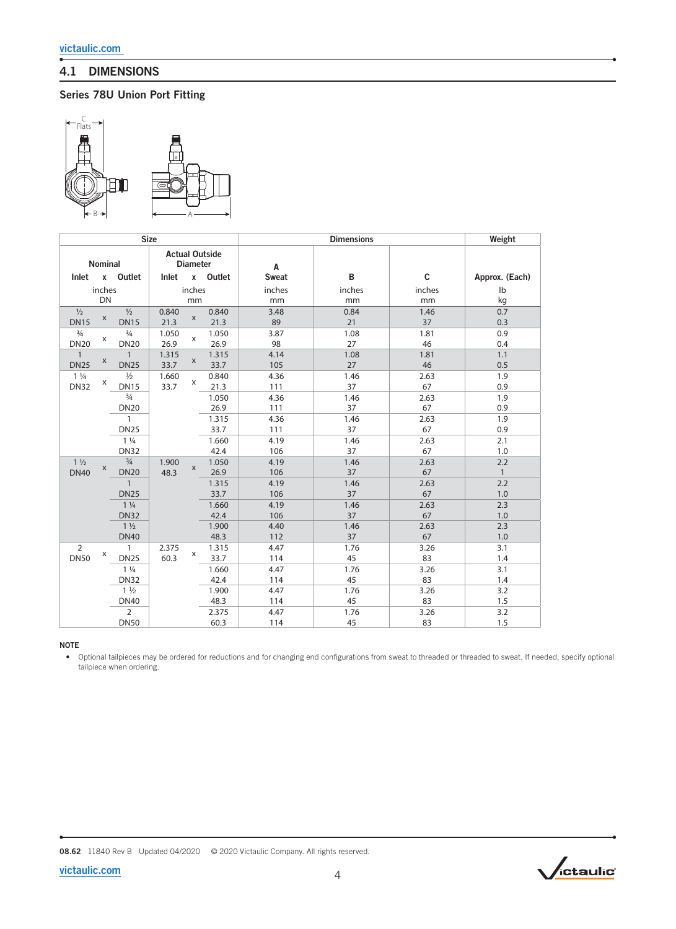## 4.1 DIMENSIONS

## Series 78U Union Port Fitting



| <b>Size</b>                                         |             |                |       |              | <b>Dimensions</b> |              |        | Weight      |                |
|-----------------------------------------------------|-------------|----------------|-------|--------------|-------------------|--------------|--------|-------------|----------------|
| <b>Actual Outside</b><br>Nominal<br><b>Diameter</b> |             |                | A     |              |                   |              |        |             |                |
| Inlet                                               |             | x Outlet       | Inlet |              | x Outlet          | <b>Sweat</b> | B      | $\mathbf c$ | Approx. (Each) |
|                                                     | inches      |                |       | inches       |                   | inches       | inches | inches      | lb             |
|                                                     | DN          |                |       | mm           |                   | mm           | mm     | mm          | kg             |
| $\frac{1}{2}$                                       |             | $\frac{1}{2}$  | 0.840 |              | 0.840             | 3.48         | 0.84   | 1.46        | 0.7            |
| <b>DN15</b>                                         | $\mathsf X$ | <b>DN15</b>    | 21.3  | $\mathsf X$  | 21.3              | 89           | 21     | 37          | 0.3            |
| $\frac{3}{4}$                                       |             | $\frac{3}{4}$  | 1.050 | X            | 1.050             | 3.87         | 1.08   | 1.81        | 0.9            |
| <b>DN20</b>                                         | X           | <b>DN20</b>    | 26.9  |              | 26.9              | 98           | 27     | 46          | 0.4            |
| $\overline{1}$                                      |             | $\overline{1}$ | 1.315 |              | 1.315             | 4.14         | 1.08   | 1.81        | 1.1            |
| <b>DN25</b>                                         | X           | <b>DN25</b>    | 33.7  | X            | 33.7              | 105          | 27     | 46          | 0.5            |
| $1\frac{1}{4}$                                      | X           | $\frac{1}{2}$  | 1.660 | X            | 0.840             | 4.36         | 1.46   | 2.63        | 1.9            |
| <b>DN32</b>                                         |             | <b>DN15</b>    | 33.7  |              | 21.3              | 111          | 37     | 67          | 0.9            |
|                                                     |             | $\frac{3}{4}$  |       |              | 1.050             | 4.36         | 1.46   | 2.63        | 1.9            |
|                                                     |             | <b>DN20</b>    |       |              | 26.9              | 111          | 37     | 67          | 0.9            |
|                                                     |             | $\mathbf{1}$   |       |              | 1.315             | 4.36         | 1.46   | 2.63        | 1.9            |
|                                                     |             | <b>DN25</b>    |       |              | 33.7              | 111          | 37     | 67          | 0.9            |
|                                                     |             | $1\frac{1}{4}$ |       |              | 1.660             | 4.19         | 1.46   | 2.63        | 2.1            |
|                                                     |             | <b>DN32</b>    |       |              | 42.4              | 106          | 37     | 67          | 1.0            |
| $1\frac{1}{2}$                                      | X           | $\frac{3}{4}$  | 1.900 | $\mathsf{x}$ | 1.050             | 4.19         | 1.46   | 2.63        | 2.2            |
| <b>DN40</b>                                         |             | <b>DN20</b>    | 48.3  |              | 26.9              | 106          | 37     | 67          | $\mathbf{1}$   |
|                                                     |             | $\mathbf{1}$   |       |              | 1.315             | 4.19         | 1.46   | 2.63        | 2.2            |
|                                                     |             | <b>DN25</b>    |       |              | 33.7              | 106          | 37     | 67          | 1.0            |
|                                                     |             | $1\frac{1}{4}$ |       |              | 1.660             | 4.19         | 1.46   | 2.63        | 2.3            |
|                                                     |             | <b>DN32</b>    |       |              | 42.4              | 106          | 37     | 67          | 1.0            |
|                                                     |             | $1\frac{1}{2}$ |       |              | 1.900             | 4.40         | 1.46   | 2.63        | 2.3            |
|                                                     |             | <b>DN40</b>    |       |              | 48.3              | 112          | 37     | 67          | 1.0            |
| $\overline{2}$                                      |             | $\mathbf{1}$   | 2.375 | X            | 1.315             | 4.47         | 1.76   | 3.26        | 3.1            |
| <b>DN50</b>                                         | х           | <b>DN25</b>    | 60.3  |              | 33.7              | 114          | 45     | 83          | 1.4            |
|                                                     |             | $1\frac{1}{4}$ |       |              | 1.660             | 4.47         | 1.76   | 3.26        | 3.1            |
|                                                     |             | <b>DN32</b>    |       |              | 42.4              | 114          | 45     | 83          | 1.4            |
|                                                     |             | $1\frac{1}{2}$ |       |              | 1.900             | 4.47         | 1.76   | 3.26        | 3.2            |
|                                                     |             | <b>DN40</b>    |       |              | 48.3              | 114          | 45     | 83          | 1.5            |
|                                                     |             | $\overline{2}$ |       |              | 2.375             | 4.47         | 1.76   | 3.26        | 3.2            |
|                                                     |             | <b>DN50</b>    |       |              | 60.3              | 114          | 45     | 83          | 1.5            |

#### NOTE

• Optional tailpieces may be ordered for reductions and for changing end configurations from sweat to threaded or threaded to sweat. If needed, specify optional tailpiece when ordering.



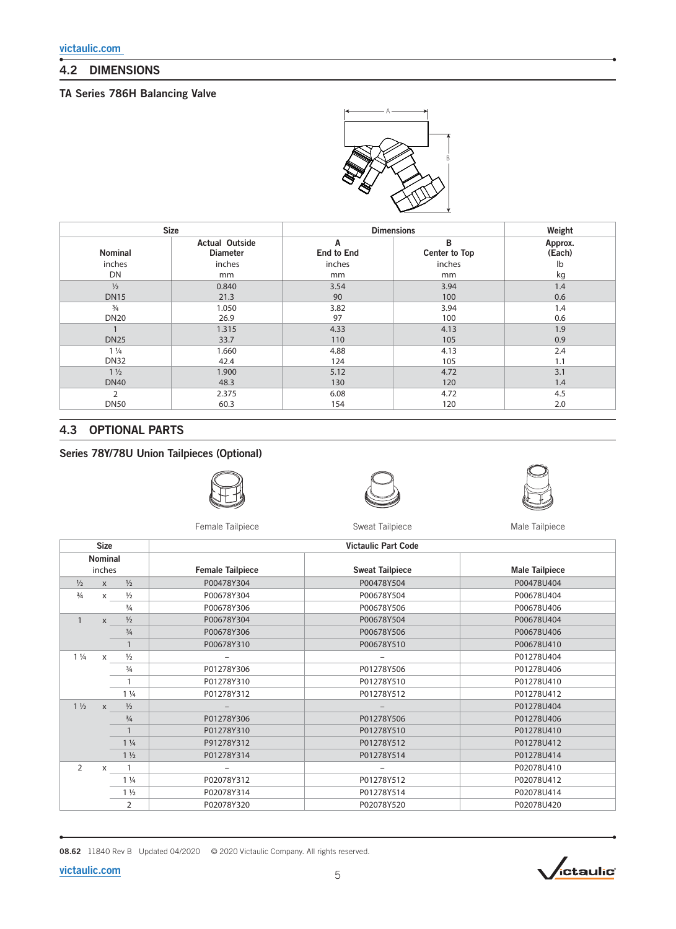## 4.2 DIMENSIONS

### TA Series 786H Balancing Valve



|                | <b>Size</b>                              |                        | <b>Dimensions</b>         |                   |  |
|----------------|------------------------------------------|------------------------|---------------------------|-------------------|--|
| Nominal        | <b>Actual Outside</b><br><b>Diameter</b> | Α<br><b>End to End</b> | в<br><b>Center to Top</b> | Approx.<br>(Each) |  |
| inches         | inches                                   | inches                 | inches                    | lb                |  |
| DN             | mm                                       | mm                     | mm                        | kg                |  |
| $\frac{1}{2}$  | 0.840                                    | 3.54                   | 3.94                      | 1.4               |  |
| <b>DN15</b>    | 21.3                                     | 90                     | 100                       | 0.6               |  |
| $\frac{3}{4}$  | 1.050                                    | 3.82                   | 3.94                      | 1.4               |  |
| <b>DN20</b>    | 26.9                                     | 97                     | 100                       | 0.6               |  |
|                | 1.315                                    | 4.33                   | 4.13                      | 1.9               |  |
| <b>DN25</b>    | 33.7                                     | 110                    | 105                       | 0.9               |  |
| $1\frac{1}{4}$ | 1.660                                    | 4.88                   | 4.13                      | 2.4               |  |
| <b>DN32</b>    | 42.4                                     | 124                    | 105                       | 1.1               |  |
| $1\frac{1}{2}$ | 1.900                                    | 5.12                   | 4.72                      | 3.1               |  |
| <b>DN40</b>    | 48.3                                     | 130                    | 120                       | 1.4               |  |
| $\overline{2}$ | 2.375                                    | 6.08                   | 4.72                      | 4.5               |  |
| <b>DN50</b>    | 60.3                                     | 154                    | 120                       | 2.0               |  |

### 4.3 OPTIONAL PARTS

## Series 78Y/78U Union Tailpieces (Optional)







Female Tailpiece **Sweat Tailpiece** Sweat Tailpiece Male Tailpiece

| <b>Size</b>    |              |                |                          | <b>Victaulic Part Code</b> |                       |  |  |  |            |            |            |
|----------------|--------------|----------------|--------------------------|----------------------------|-----------------------|--|--|--|------------|------------|------------|
|                | Nominal      |                |                          |                            |                       |  |  |  |            |            |            |
|                | inches       |                | <b>Female Tailpiece</b>  | <b>Sweat Tailpiece</b>     | <b>Male Tailpiece</b> |  |  |  |            |            |            |
| $\frac{1}{2}$  | $\mathsf{x}$ | $\frac{1}{2}$  | P00478Y304               | P00478Y504                 | P00478U404            |  |  |  |            |            |            |
| $\frac{3}{4}$  | $\mathsf{x}$ | $\frac{1}{2}$  | P00678Y304               | P00678Y504                 | P00678U404            |  |  |  |            |            |            |
|                |              | $\frac{3}{4}$  | P00678Y306               | P00678Y506                 | P00678U406            |  |  |  |            |            |            |
| $\mathbf{1}$   | $\times$     | $\frac{1}{2}$  | P00678Y304               | P00678Y504                 | P00678U404            |  |  |  |            |            |            |
|                |              | $\frac{3}{4}$  | P00678Y306               | P00678Y506                 | P00678U406            |  |  |  |            |            |            |
|                |              |                | P00678Y310               | P00678Y510                 | P00678U410            |  |  |  |            |            |            |
| $1\frac{1}{4}$ | $\mathsf{x}$ | $\frac{1}{2}$  | $\overline{\phantom{0}}$ | $\overline{\phantom{a}}$   | P01278U404            |  |  |  |            |            |            |
|                |              | $\frac{3}{4}$  | P01278Y306               | P01278Y506                 | P01278U406            |  |  |  |            |            |            |
|                |              |                | P01278Y310               | P01278Y510                 | P01278U410            |  |  |  |            |            |            |
|                |              | $1\frac{1}{4}$ | P01278Y312               | P01278Y512                 | P01278U412            |  |  |  |            |            |            |
| $1\frac{1}{2}$ | $\mathsf{x}$ | $\frac{1}{2}$  |                          |                            | P01278U404            |  |  |  |            |            |            |
|                |              | $\frac{3}{4}$  | P01278Y306               | P01278Y506                 | P01278U406            |  |  |  |            |            |            |
|                |              |                |                          |                            |                       |  |  |  | P01278Y310 | P01278Y510 | P01278U410 |
|                |              | $1\frac{1}{4}$ | P91278Y312               | P01278Y512                 | P01278U412            |  |  |  |            |            |            |
|                |              | $1\frac{1}{2}$ | P01278Y314               | P01278Y514                 | P01278U414            |  |  |  |            |            |            |
| 2              | X            |                | -                        | -                          | P02078U410            |  |  |  |            |            |            |
|                |              | $1\frac{1}{4}$ | P02078Y312               | P01278Y512                 | P02078U412            |  |  |  |            |            |            |
|                |              | $1\frac{1}{2}$ | P02078Y314               | P01278Y514                 | P02078U414            |  |  |  |            |            |            |
|                |              | 2              | P02078Y320               | P02078Y520                 | P02078U420            |  |  |  |            |            |            |

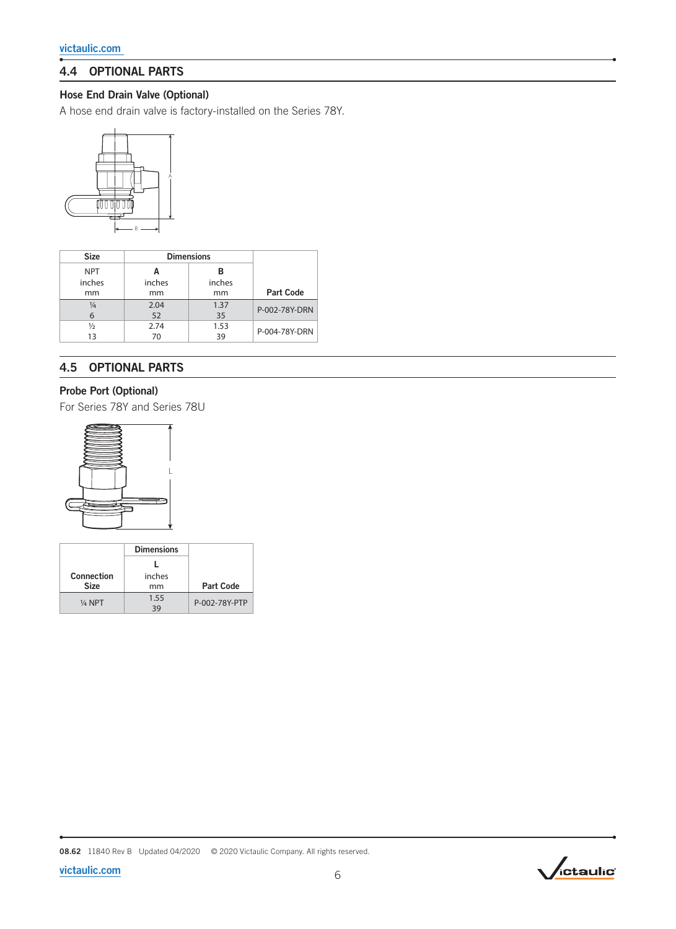## 4.4 OPTIONAL PARTS

## Hose End Drain Valve (Optional)

A hose end drain valve is factory-installed on the Series 78Y.



| <b>Size</b>   |        | <b>Dimensions</b> |                  |  |
|---------------|--------|-------------------|------------------|--|
| <b>NPT</b>    |        | в                 |                  |  |
| inches        | inches | inches            |                  |  |
| mm            | mm     | mm                | <b>Part Code</b> |  |
| $\frac{1}{4}$ | 2.04   | 1.37              | P-002-78Y-DRN    |  |
| 6             | 52     | 35                |                  |  |
| ⅓             | 2.74   | 1.53              |                  |  |
| 13            | 70     | 39                | P-004-78Y-DRN    |  |

## 4.5 OPTIONAL PARTS

## Probe Port (Optional)

For Series 78Y and Series 78U



|             | <b>Dimensions</b> |                  |
|-------------|-------------------|------------------|
|             |                   |                  |
| Connection  | inches            |                  |
| <b>Size</b> | mm                | <b>Part Code</b> |
| 1/4 NPT     | 1.55<br>39        | P-002-78Y-PTP    |

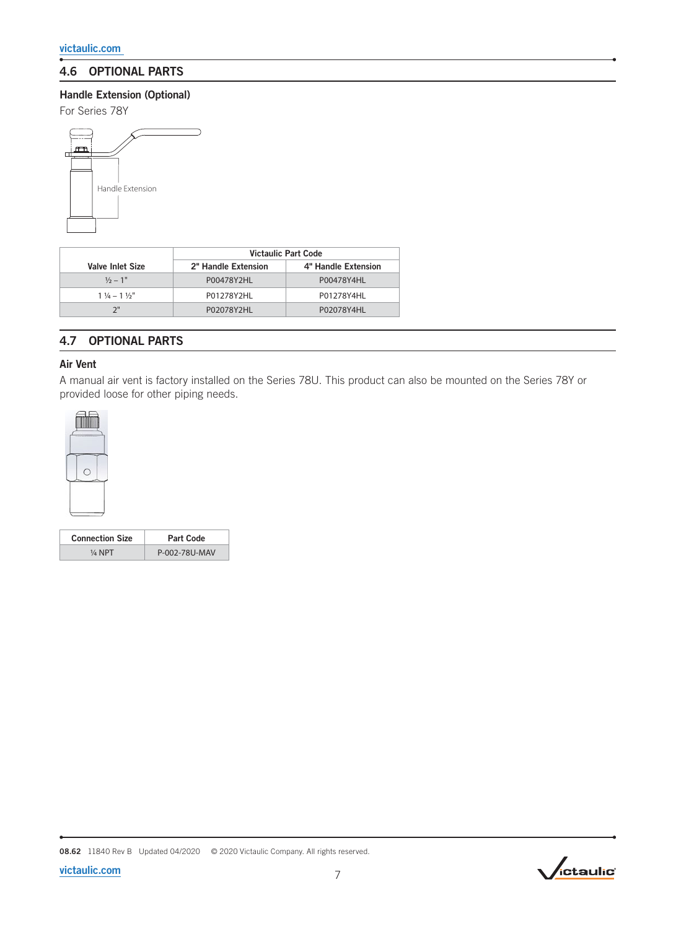## 4.6 OPTIONAL PARTS

### Handle Extension (Optional)

For Series 78Y



|                               | Victaulic Part Code |                     |  |
|-------------------------------|---------------------|---------------------|--|
| Valve Inlet Size              | 2" Handle Extension | 4" Handle Extension |  |
| $\frac{1}{2} - 1$ "           | P00478Y2HL          | P00478Y4HL          |  |
| $1\frac{1}{4} - 1\frac{1}{2}$ | P01278Y2HL          | P01278Y4HL          |  |
|                               | P02078Y2HL          | P02078Y4HL          |  |

## 4.7 OPTIONAL PARTS

#### Air Vent

A manual air vent is factory installed on the Series 78U. This product can also be mounted on the Series 78Y or provided loose for other piping needs.



| <b>Connection Size</b> | Part Code     |
|------------------------|---------------|
| $\frac{1}{4}$ NPT      | P-002-78U-MAV |

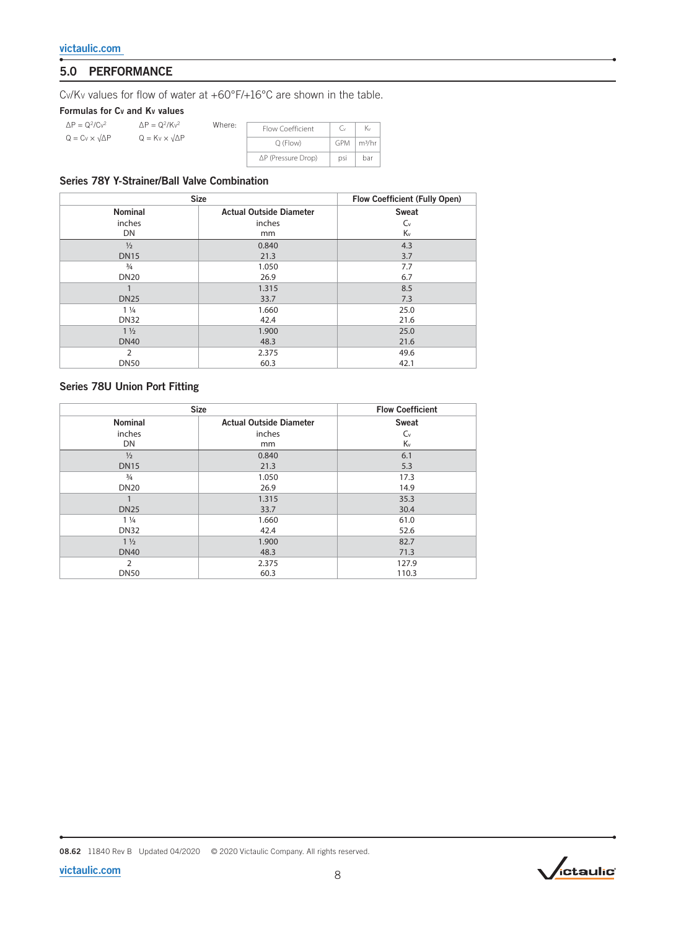## 5.0 PERFORMANCE

CV/KV values for flow of water at +60°F/+16°C are shown in the table.

Where:

Formulas for Cv and Kv values

| $\Delta P = Q^2/Cv^2$           | $\Delta P = Q^2/Kv^2$           |
|---------------------------------|---------------------------------|
| $Q = Cv \times \sqrt{\Delta P}$ | $Q = Kv \times \sqrt{\Delta P}$ |

| Flow Coefficient   | ٠., |                   |
|--------------------|-----|-------------------|
| $O$ (Flow)         |     | $GPM \mid m^3/hr$ |
| ∆P (Pressure Drop) | psi | har               |

### Series 78Y Y-Strainer/Ball Valve Combination

|                | <b>Size</b>                    |             |  |  |  |  |
|----------------|--------------------------------|-------------|--|--|--|--|
| <b>Nominal</b> | <b>Actual Outside Diameter</b> | Sweat       |  |  |  |  |
| inches         | inches                         | $C_{\rm v}$ |  |  |  |  |
| DN             | mm                             | Κv          |  |  |  |  |
| $\frac{1}{2}$  | 0.840                          | 4.3         |  |  |  |  |
| <b>DN15</b>    | 21.3                           | 3.7         |  |  |  |  |
| $\frac{3}{4}$  | 1.050                          | 7.7         |  |  |  |  |
| <b>DN20</b>    | 26.9                           | 6.7         |  |  |  |  |
| 1              | 1.315                          | 8.5         |  |  |  |  |
| <b>DN25</b>    | 33.7                           | 7.3         |  |  |  |  |
| $1\frac{1}{4}$ | 1.660                          | 25.0        |  |  |  |  |
| <b>DN32</b>    | 42.4                           | 21.6        |  |  |  |  |
| $1\frac{1}{2}$ | 1.900                          | 25.0        |  |  |  |  |
| <b>DN40</b>    | 48.3                           | 21.6        |  |  |  |  |
| $\overline{2}$ | 2.375                          | 49.6        |  |  |  |  |
| <b>DN50</b>    | 60.3                           | 42.1        |  |  |  |  |

#### Series 78U Union Port Fitting

| <b>Size</b>    |                                | <b>Flow Coefficient</b> |  |
|----------------|--------------------------------|-------------------------|--|
| <b>Nominal</b> | <b>Actual Outside Diameter</b> | <b>Sweat</b>            |  |
| inches         | inches                         | $C_{\rm v}$             |  |
| DN             | mm                             | Kv                      |  |
| $\frac{1}{2}$  | 0.840                          | 6.1                     |  |
| <b>DN15</b>    | 21.3                           | 5.3                     |  |
| $\frac{3}{4}$  | 1.050                          | 17.3                    |  |
| <b>DN20</b>    | 26.9                           | 14.9                    |  |
|                | 1.315                          | 35.3                    |  |
| <b>DN25</b>    | 33.7                           | 30.4                    |  |
| $1\frac{1}{4}$ | 1.660                          | 61.0                    |  |
| <b>DN32</b>    | 42.4                           | 52.6                    |  |
| $1\frac{1}{2}$ | 1.900                          | 82.7                    |  |
| <b>DN40</b>    | 48.3                           | 71.3                    |  |
| 2              | 2.375                          | 127.9                   |  |
| <b>DN50</b>    | 60.3                           | 110.3                   |  |

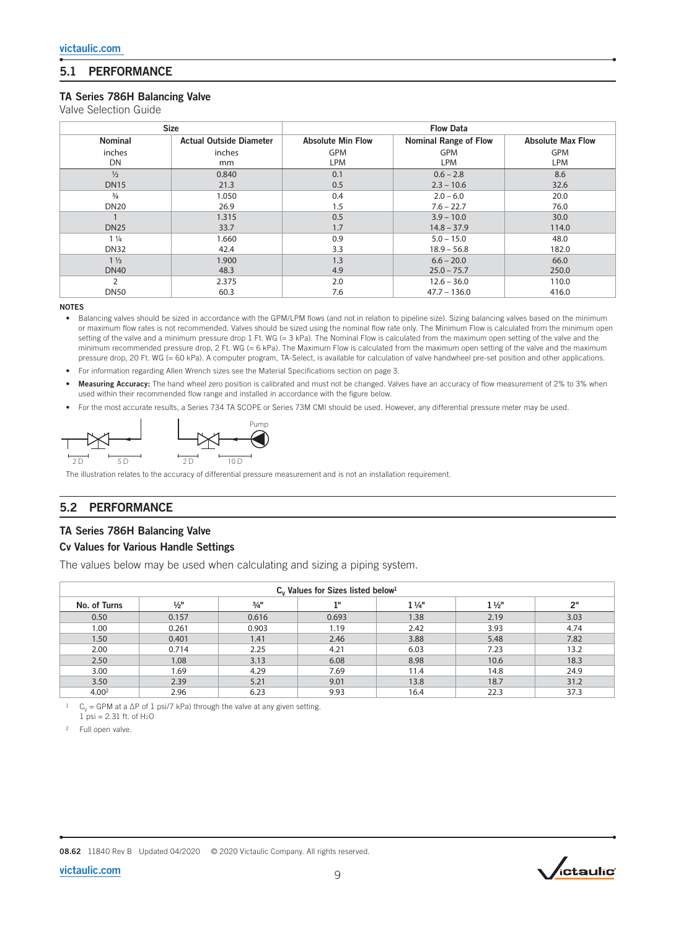## 5.1 PERFORMANCE

#### TA Series 786H Balancing Valve

Valve Selection Guide

| <b>Size</b>    |                                | <b>Flow Data</b>         |                              |                          |  |  |
|----------------|--------------------------------|--------------------------|------------------------------|--------------------------|--|--|
| <b>Nominal</b> | <b>Actual Outside Diameter</b> | <b>Absolute Min Flow</b> | <b>Nominal Range of Flow</b> | <b>Absolute Max Flow</b> |  |  |
| inches         | inches                         | <b>GPM</b>               | <b>GPM</b>                   | <b>GPM</b>               |  |  |
| DN             | mm                             | LPM                      | <b>LPM</b>                   | <b>LPM</b>               |  |  |
| $\frac{1}{2}$  | 0.840                          | 0.1                      | $0.6 - 2.8$                  | 8.6                      |  |  |
| <b>DN15</b>    | 21.3                           | 0.5                      | $2.3 - 10.6$                 | 32.6                     |  |  |
| $\frac{3}{4}$  | 1.050                          | 0.4                      | $2.0 - 6.0$                  | 20.0                     |  |  |
| <b>DN20</b>    | 26.9                           | 1.5                      | $7.6 - 22.7$                 | 76.0                     |  |  |
|                | 1.315                          | 0.5                      | $3.9 - 10.0$                 | 30.0                     |  |  |
| <b>DN25</b>    | 33.7                           | 1.7                      | $14.8 - 37.9$                | 114.0                    |  |  |
| $1\frac{1}{4}$ | 1.660                          | 0.9                      | $5.0 - 15.0$                 | 48.0                     |  |  |
| <b>DN32</b>    | 42.4                           | 3.3                      | $18.9 - 56.8$                | 182.0                    |  |  |
| $1\frac{1}{2}$ | 1.900                          | 1.3                      | $6.6 - 20.0$                 | 66.0                     |  |  |
| <b>DN40</b>    | 48.3                           | 4.9                      | $25.0 - 75.7$                | 250.0                    |  |  |
| 2              | 2.375                          | 2.0                      | $12.6 - 36.0$                | 110.0                    |  |  |
| <b>DN50</b>    | 60.3                           | 7.6                      | $47.7 - 136.0$               | 416.0                    |  |  |

NOTES

• Balancing valves should be sized in accordance with the GPM/LPM flows (and not in relation to pipeline size). Sizing balancing valves based on the minimum or maximum flow rates is not recommended. Valves should be sized using the nominal flow rate only. The Minimum Flow is calculated from the minimum open setting of the valve and a minimum pressure drop 1 Ft. WG (= 3 kPa). The Nominal Flow is calculated from the maximum open setting of the valve and the minimum recommended pressure drop, 2 Ft. WG (= 6 kPa). The Maximum Flow is calculated from the maximum open setting of the valve and the maximum pressure drop, 20 Ft. WG (= 60 kPa). A computer program, TA-Select, is available for calculation of valve handwheel pre-set position and other applications.

- For information regarding Allen Wrench sizes see the Material Specifications section on page 3.
- Measuring Accuracy: The hand wheel zero position is calibrated and must not be changed. Valves have an accuracy of flow measurement of 2% to 3% when used within their recommended flow range and installed in accordance with the figure below.
- For the most accurate results, a Series 734 TA SCOPE or Series 73M CMI should be used. However, any differential pressure meter may be used.



The illustration relates to the accuracy of differential pressure measurement and is not an installation requirement.

## 5.2 PERFORMANCE

#### TA Series 786H Balancing Valve

#### Cv Values for Various Handle Settings

The values below may be used when calculating and sizing a piping system.

| $C_v$ Values for Sizes listed below <sup>1</sup> |                 |                 |       |                |                |      |
|--------------------------------------------------|-----------------|-----------------|-------|----------------|----------------|------|
| No. of Turns                                     | $\frac{1}{2}$ " | $\frac{3}{4}$ " | 18    | $1\frac{1}{4}$ | $1\frac{1}{2}$ | 2"   |
| 0.50                                             | 0.157           | 0.616           | 0.693 | 1.38           | 2.19           | 3.03 |
| 1.00                                             | 0.261           | 0.903           | 1.19  | 2.42           | 3.93           | 4.74 |
| 1.50                                             | 0.401           | 1.41            | 2.46  | 3.88           | 5.48           | 7.82 |
| 2.00                                             | 0.714           | 2.25            | 4.21  | 6.03           | 7.23           | 13.2 |
| 2.50                                             | 1.08            | 3.13            | 6.08  | 8.98           | 10.6           | 18.3 |
| 3.00                                             | 1.69            | 4.29            | 7.69  | 11.4           | 14.8           | 24.9 |
| 3.50                                             | 2.39            | 5.21            | 9.01  | 13.8           | 18.7           | 31.2 |
| 4.00 <sup>2</sup>                                | 2.96            | 6.23            | 9.93  | 16.4           | 22.3           | 37.3 |

 $C_V = GPM$  at a  $\Delta P$  of 1 psi/7 kPa) through the valve at any given setting.  $1 \text{ psi} = 2.31 \text{ ft. of H<sub>2</sub>O}$ 

<sup>2</sup> Full open valve.

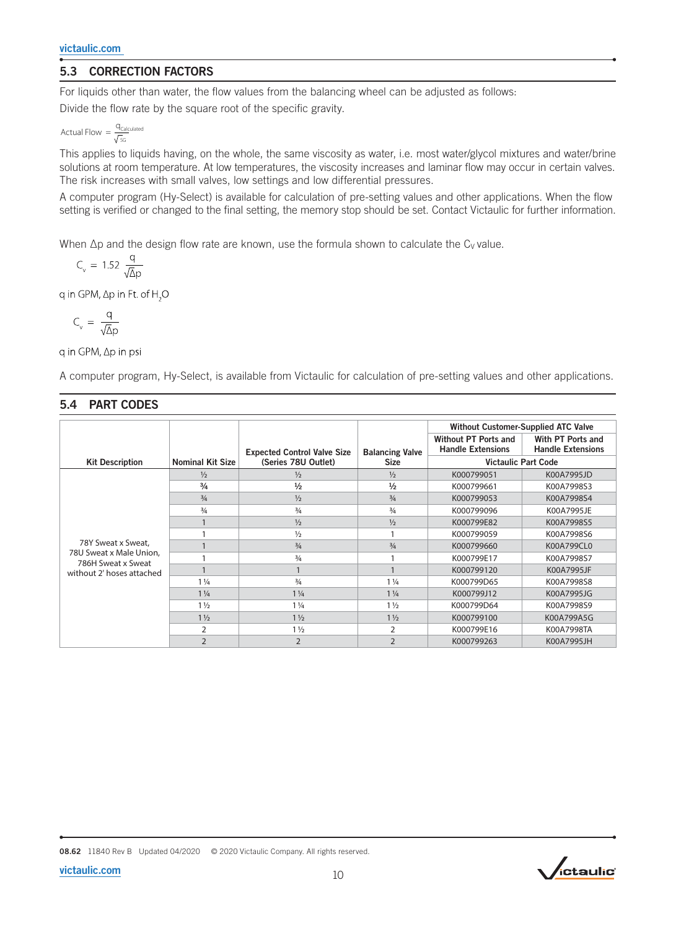## 5.3 CORRECTION FACTORS

For liquids other than water, the flow values from the balancing wheel can be adjusted as follows:

Divide the flow rate by the square root of the specific gravity.

$$
\text{Actual Flow} = \frac{q_{\text{Calculated}}}{\sqrt{\text{SG}}}
$$

This applies to liquids having, on the whole, the same viscosity as water, i.e. most water/glycol mixtures and water/brine solutions at room temperature. At low temperatures, the viscosity increases and laminar flow may occur in certain valves. The risk increases with small valves, low settings and low differential pressures.

A computer program (Hy-Select) is available for calculation of pre-setting values and other applications. When the flow setting is verified or changed to the final setting, the memory stop should be set. Contact Victaulic for further information.

When  $\Delta p$  and the design flow rate are known, use the formula shown to calculate the C<sub>V</sub> value.

$$
C_v = 1.52 \frac{q}{\sqrt{\Delta}p}
$$

q in GPM,  $\Delta p$  in Ft. of H<sub>2</sub>O

$$
C_v = \frac{q}{\sqrt{\Delta}p}
$$

q in GPM, ∆p in psi

A computer program, Hy-Select, is available from Victaulic for calculation of pre-setting values and other applications.

## 5.4 PART CODES

|                                                                                                  |                         |                                    |                        | <b>Without Customer-Supplied ATC Valve</b>       |                                               |  |
|--------------------------------------------------------------------------------------------------|-------------------------|------------------------------------|------------------------|--------------------------------------------------|-----------------------------------------------|--|
|                                                                                                  |                         | <b>Expected Control Valve Size</b> | <b>Balancing Valve</b> | Without PT Ports and<br><b>Handle Extensions</b> | With PT Ports and<br><b>Handle Extensions</b> |  |
| <b>Kit Description</b>                                                                           | <b>Nominal Kit Size</b> | (Series 78U Outlet)                | <b>Size</b>            | <b>Victaulic Part Code</b>                       |                                               |  |
| 78Y Sweat x Sweat,<br>78U Sweat x Male Union.<br>786H Sweat x Sweat<br>without 2' hoses attached | $\frac{1}{2}$           | $\frac{1}{2}$                      | $\frac{1}{2}$          | K000799051                                       | K00A7995JD                                    |  |
|                                                                                                  | $\frac{3}{4}$           | $\frac{1}{2}$                      | $\frac{1}{2}$          | K000799661                                       | K00A7998S3                                    |  |
|                                                                                                  | $\frac{3}{4}$           | $\frac{1}{2}$                      | $\frac{3}{4}$          | K000799053                                       | K00A7998S4                                    |  |
|                                                                                                  | $\frac{3}{4}$           | $\frac{3}{4}$                      | 3/4                    | K000799096                                       | K00A7995JE                                    |  |
|                                                                                                  |                         | $\frac{1}{2}$                      | $\frac{1}{2}$          | K000799E82                                       | K00A7998S5                                    |  |
|                                                                                                  |                         | $\frac{1}{2}$                      |                        | K000799059                                       | K00A7998S6                                    |  |
|                                                                                                  |                         | $\frac{3}{4}$                      | $\frac{3}{4}$          | K000799660                                       | K00A799CL0                                    |  |
|                                                                                                  |                         | $\frac{3}{4}$                      |                        | K000799E17                                       | K00A7998S7                                    |  |
|                                                                                                  |                         |                                    |                        | K000799120                                       | K00A7995JF                                    |  |
|                                                                                                  | $1\frac{1}{4}$          | $\frac{3}{4}$                      | $1\frac{1}{4}$         | K000799D65                                       | K00A7998S8                                    |  |
|                                                                                                  | $1\frac{1}{4}$          | $1\frac{1}{4}$                     | $1\frac{1}{4}$         | K000799J12                                       | K00A7995JG                                    |  |
|                                                                                                  | $1\frac{1}{2}$          | $1\frac{1}{4}$                     | $1\frac{1}{2}$         | K000799D64                                       | K00A7998S9                                    |  |
|                                                                                                  | $1\frac{1}{2}$          | $1\frac{1}{2}$                     | $1\frac{1}{2}$         | K000799100                                       | K00A799A5G                                    |  |
|                                                                                                  | $\overline{2}$          | $1\frac{1}{2}$                     | 2                      | K000799E16                                       | K00A7998TA                                    |  |
|                                                                                                  | $\overline{2}$          | $\overline{2}$                     | $\overline{2}$         | K000799263                                       | K00A7995JH                                    |  |



$$
victaulic.com\\
$$